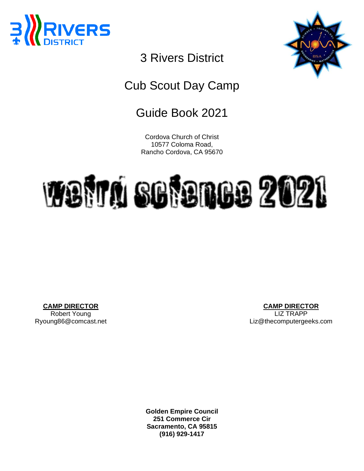



# 3 Rivers District

## Cub Scout Day Camp

## Guide Book 2021

Cordova Church of Christ 10577 Coloma Road, Rancho Cordova, CA 95670

# Weird Science 2021

**CAMP DIRECTOR** Robert Young Ryoung86@comcast.net

**CAMP DIRECTOR** LIZ TRAPP Liz@thecomputergeeks.com

**Golden Empire Council 251 Commerce Cir Sacramento, CA 95815 (916) 929-1417**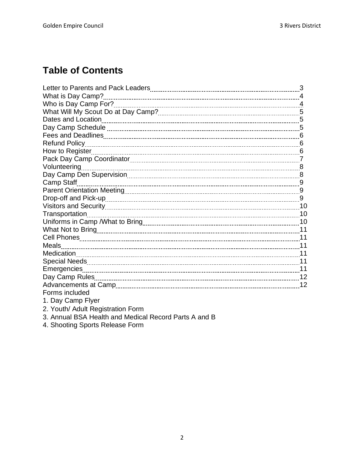## **Table of Contents**

| Dates and Location                                    |  |
|-------------------------------------------------------|--|
|                                                       |  |
|                                                       |  |
|                                                       |  |
|                                                       |  |
|                                                       |  |
|                                                       |  |
|                                                       |  |
| Camp Staff                                            |  |
|                                                       |  |
|                                                       |  |
|                                                       |  |
| Transportation                                        |  |
|                                                       |  |
|                                                       |  |
|                                                       |  |
|                                                       |  |
|                                                       |  |
|                                                       |  |
|                                                       |  |
|                                                       |  |
|                                                       |  |
| Forms included                                        |  |
| 1. Day Camp Flyer                                     |  |
| 2. Youth/ Adult Registration Form                     |  |
| 3. Annual BSA Health and Medical Record Parts A and B |  |

4. Shooting Sports Release Form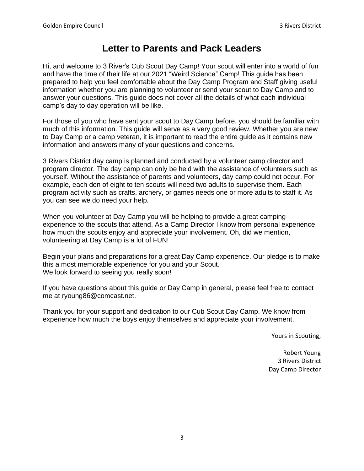### **Letter to Parents and Pack Leaders**

Hi, and welcome to 3 River's Cub Scout Day Camp! Your scout will enter into a world of fun and have the time of their life at our 2021 "Weird Science" Camp! This guide has been prepared to help you feel comfortable about the Day Camp Program and Staff giving useful information whether you are planning to volunteer or send your scout to Day Camp and to answer your questions. This guide does not cover all the details of what each individual camp's day to day operation will be like.

For those of you who have sent your scout to Day Camp before, you should be familiar with much of this information. This guide will serve as a very good review. Whether you are new to Day Camp or a camp veteran, it is important to read the entire guide as it contains new information and answers many of your questions and concerns.

3 Rivers District day camp is planned and conducted by a volunteer camp director and program director. The day camp can only be held with the assistance of volunteers such as yourself. Without the assistance of parents and volunteers, day camp could not occur. For example, each den of eight to ten scouts will need two adults to supervise them. Each program activity such as crafts, archery, or games needs one or more adults to staff it. As you can see we do need your help.

When you volunteer at Day Camp you will be helping to provide a great camping experience to the scouts that attend. As a Camp Director I know from personal experience how much the scouts enjoy and appreciate your involvement. Oh, did we mention, volunteering at Day Camp is a lot of FUN!

Begin your plans and preparations for a great Day Camp experience. Our pledge is to make this a most memorable experience for you and your Scout. We look forward to seeing you really soon!

If you have questions about this guide or Day Camp in general, please feel free to contact me at ryoung86@comcast.net.

Thank you for your support and dedication to our Cub Scout Day Camp. We know from experience how much the boys enjoy themselves and appreciate your involvement.

Yours in Scouting,

Robert Young 3 Rivers District Day Camp Director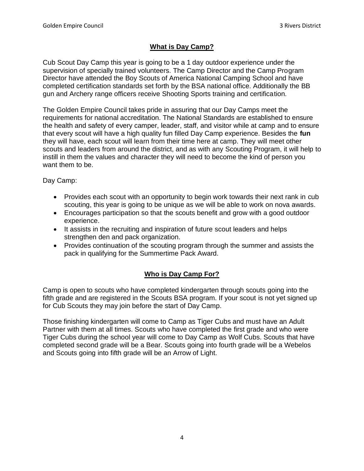#### **What is Day Camp?**

Cub Scout Day Camp this year is going to be a 1 day outdoor experience under the supervision of specially trained volunteers. The Camp Director and the Camp Program Director have attended the Boy Scouts of America National Camping School and have completed certification standards set forth by the BSA national office. Additionally the BB gun and Archery range officers receive Shooting Sports training and certification.

The Golden Empire Council takes pride in assuring that our Day Camps meet the requirements for national accreditation. The National Standards are established to ensure the health and safety of every camper, leader, staff, and visitor while at camp and to ensure that every scout will have a high quality fun filled Day Camp experience. Besides the **fun**  they will have, each scout will learn from their time here at camp. They will meet other scouts and leaders from around the district, and as with any Scouting Program, it will help to instill in them the values and character they will need to become the kind of person you want them to be.

Day Camp:

- Provides each scout with an opportunity to begin work towards their next rank in cub scouting, this year is going to be unique as we will be able to work on nova awards.
- Encourages participation so that the scouts benefit and grow with a good outdoor experience.
- It assists in the recruiting and inspiration of future scout leaders and helps strengthen den and pack organization.
- Provides continuation of the scouting program through the summer and assists the pack in qualifying for the Summertime Pack Award.

#### **Who is Day Camp For?**

Camp is open to scouts who have completed kindergarten through scouts going into the fifth grade and are registered in the Scouts BSA program. If your scout is not yet signed up for Cub Scouts they may join before the start of Day Camp.

Those finishing kindergarten will come to Camp as Tiger Cubs and must have an Adult Partner with them at all times. Scouts who have completed the first grade and who were Tiger Cubs during the school year will come to Day Camp as Wolf Cubs. Scouts that have completed second grade will be a Bear. Scouts going into fourth grade will be a Webelos and Scouts going into fifth grade will be an Arrow of Light.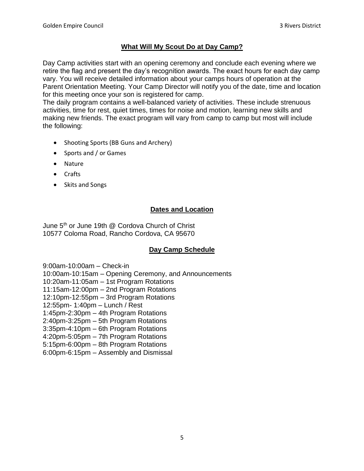#### **What Will My Scout Do at Day Camp?**

Day Camp activities start with an opening ceremony and conclude each evening where we retire the flag and present the day's recognition awards. The exact hours for each day camp vary. You will receive detailed information about your camps hours of operation at the Parent Orientation Meeting. Your Camp Director will notify you of the date, time and location for this meeting once your son is registered for camp.

The daily program contains a well-balanced variety of activities. These include strenuous activities, time for rest, quiet times, times for noise and motion, learning new skills and making new friends. The exact program will vary from camp to camp but most will include the following:

- Shooting Sports (BB Guns and Archery)
- Sports and / or Games
- Nature
- Crafts
- Skits and Songs

#### **Dates and Location**

June 5<sup>th</sup> or June 19th @ Cordova Church of Christ 10577 Coloma Road, Rancho Cordova, CA 95670

#### **Day Camp Schedule**

9:00am-10:00am – Check-in 10:00am-10:15am – Opening Ceremony, and Announcements 10:20am-11:05am – 1st Program Rotations 11:15am-12:00pm – 2nd Program Rotations 12:10pm-12:55pm – 3rd Program Rotations 12:55pm- 1:40pm – Lunch / Rest 1:45pm-2:30pm – 4th Program Rotations 2:40pm-3:25pm – 5th Program Rotations 3:35pm-4:10pm – 6th Program Rotations 4:20pm-5:05pm – 7th Program Rotations 5:15pm-6:00pm – 8th Program Rotations 6:00pm-6:15pm – Assembly and Dismissal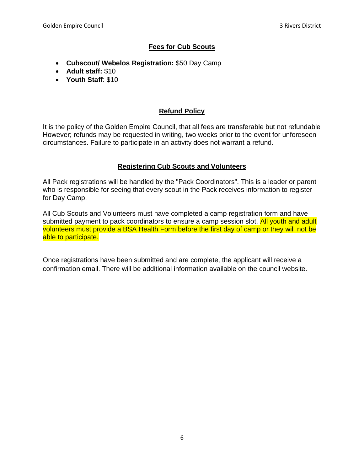#### **Fees for Cub Scouts**

- **Cubscout/ Webelos Registration:** \$50 Day Camp
- **Adult staff:** \$10
- **Youth Staff**: \$10

#### **Refund Policy**

It is the policy of the Golden Empire Council, that all fees are transferable but not refundable However; refunds may be requested in writing, two weeks prior to the event for unforeseen circumstances. Failure to participate in an activity does not warrant a refund.

#### **Registering Cub Scouts and Volunteers**

All Pack registrations will be handled by the "Pack Coordinators". This is a leader or parent who is responsible for seeing that every scout in the Pack receives information to register for Day Camp.

All Cub Scouts and Volunteers must have completed a camp registration form and have submitted payment to pack coordinators to ensure a camp session slot. All youth and adult volunteers must provide a BSA Health Form before the first day of camp or they will not be able to participate.

Once registrations have been submitted and are complete, the applicant will receive a confirmation email. There will be additional information available on the council website.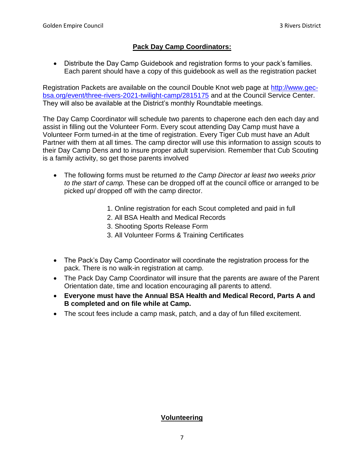#### **Pack Day Camp Coordinators:**

• Distribute the Day Camp Guidebook and registration forms to your pack's families. Each parent should have a copy of this guidebook as well as the registration packet

Registration Packets are available on the council Double Knot web page at [http://www.gec](http://www.gec-bsa.org/event/three-rivers-2021-twilight-camp/2815175)[bsa.org/event/three-rivers-2021-twilight-camp/2815175](http://www.gec-bsa.org/event/three-rivers-2021-twilight-camp/2815175) and at the Council Service Center. They will also be available at the District's monthly Roundtable meetings.

The Day Camp Coordinator will schedule two parents to chaperone each den each day and assist in filling out the Volunteer Form. Every scout attending Day Camp must have a Volunteer Form turned-in at the time of registration. Every Tiger Cub must have an Adult Partner with them at all times. The camp director will use this information to assign scouts to their Day Camp Dens and to insure proper adult supervision. Remember that Cub Scouting is a family activity, so get those parents involved

- The following forms must be returned *to the Camp Director at least two weeks prior to the start of camp.* These can be dropped off at the council office or arranged to be picked up/ dropped off with the camp director.
	- 1. Online registration for each Scout completed and paid in full
	- 2. All BSA Health and Medical Records
	- 3. Shooting Sports Release Form
	- 3. All Volunteer Forms & Training Certificates
- The Pack's Day Camp Coordinator will coordinate the registration process for the pack. There is no walk-in registration at camp.
- The Pack Day Camp Coordinator will insure that the parents are aware of the Parent Orientation date, time and location encouraging all parents to attend.
- **Everyone must have the Annual BSA Health and Medical Record, Parts A and B completed and on file while at Camp.**
- The scout fees include a camp mask, patch, and a day of fun filled excitement.

#### **Volunteering**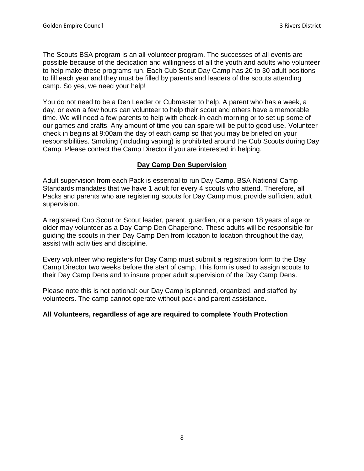The Scouts BSA program is an all-volunteer program. The successes of all events are possible because of the dedication and willingness of all the youth and adults who volunteer to help make these programs run. Each Cub Scout Day Camp has 20 to 30 adult positions to fill each year and they must be filled by parents and leaders of the scouts attending camp. So yes, we need your help!

You do not need to be a Den Leader or Cubmaster to help. A parent who has a week, a day, or even a few hours can volunteer to help their scout and others have a memorable time. We will need a few parents to help with check-in each morning or to set up some of our games and crafts. Any amount of time you can spare will be put to good use. Volunteer check in begins at 9:00am the day of each camp so that you may be briefed on your responsibilities. Smoking (including vaping) is prohibited around the Cub Scouts during Day Camp. Please contact the Camp Director if you are interested in helping.

#### **Day Camp Den Supervision**

Adult supervision from each Pack is essential to run Day Camp. BSA National Camp Standards mandates that we have 1 adult for every 4 scouts who attend. Therefore, all Packs and parents who are registering scouts for Day Camp must provide sufficient adult supervision.

A registered Cub Scout or Scout leader, parent, guardian, or a person 18 years of age or older may volunteer as a Day Camp Den Chaperone. These adults will be responsible for guiding the scouts in their Day Camp Den from location to location throughout the day, assist with activities and discipline.

Every volunteer who registers for Day Camp must submit a registration form to the Day Camp Director two weeks before the start of camp. This form is used to assign scouts to their Day Camp Dens and to insure proper adult supervision of the Day Camp Dens.

Please note this is not optional: our Day Camp is planned, organized, and staffed by volunteers. The camp cannot operate without pack and parent assistance.

#### **All Volunteers, regardless of age are required to complete Youth Protection**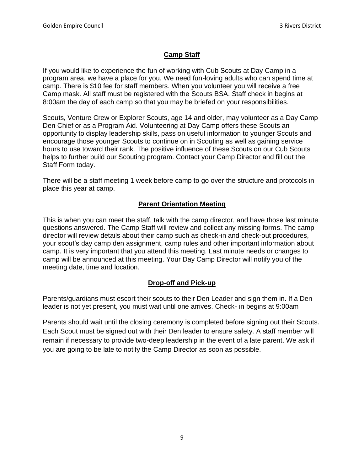#### **Camp Staff**

If you would like to experience the fun of working with Cub Scouts at Day Camp in a program area, we have a place for you. We need fun-loving adults who can spend time at camp. There is \$10 fee for staff members. When you volunteer you will receive a free Camp mask. All staff must be registered with the Scouts BSA. Staff check in begins at 8:00am the day of each camp so that you may be briefed on your responsibilities.

Scouts, Venture Crew or Explorer Scouts, age 14 and older, may volunteer as a Day Camp Den Chief or as a Program Aid. Volunteering at Day Camp offers these Scouts an opportunity to display leadership skills, pass on useful information to younger Scouts and encourage those younger Scouts to continue on in Scouting as well as gaining service hours to use toward their rank. The positive influence of these Scouts on our Cub Scouts helps to further build our Scouting program. Contact your Camp Director and fill out the Staff Form today.

There will be a staff meeting 1 week before camp to go over the structure and protocols in place this year at camp.

#### **Parent Orientation Meeting**

This is when you can meet the staff, talk with the camp director, and have those last minute questions answered. The Camp Staff will review and collect any missing forms. The camp director will review details about their camp such as check-in and check-out procedures, your scout's day camp den assignment, camp rules and other important information about camp. It is very important that you attend this meeting. Last minute needs or changes to camp will be announced at this meeting. Your Day Camp Director will notify you of the meeting date, time and location.

#### **Drop-off and Pick-up**

Parents/guardians must escort their scouts to their Den Leader and sign them in. If a Den leader is not yet present, you must wait until one arrives. Check- in begins at 9:00am

Parents should wait until the closing ceremony is completed before signing out their Scouts. Each Scout must be signed out with their Den leader to ensure safety. A staff member will remain if necessary to provide two-deep leadership in the event of a late parent. We ask if you are going to be late to notify the Camp Director as soon as possible.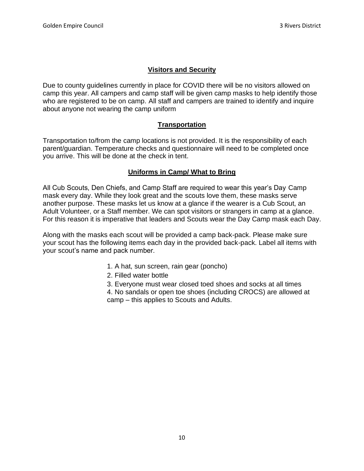#### **Visitors and Security**

Due to county guidelines currently in place for COVID there will be no visitors allowed on camp this year. All campers and camp staff will be given camp masks to help identify those who are registered to be on camp. All staff and campers are trained to identify and inquire about anyone not wearing the camp uniform

#### **Transportation**

Transportation to/from the camp locations is not provided. It is the responsibility of each parent/guardian. Temperature checks and questionnaire will need to be completed once you arrive. This will be done at the check in tent.

#### **Uniforms in Camp/ What to Bring**

All Cub Scouts, Den Chiefs, and Camp Staff are required to wear this year's Day Camp mask every day. While they look great and the scouts love them, these masks serve another purpose. These masks let us know at a glance if the wearer is a Cub Scout, an Adult Volunteer, or a Staff member. We can spot visitors or strangers in camp at a glance. For this reason it is imperative that leaders and Scouts wear the Day Camp mask each Day.

Along with the masks each scout will be provided a camp back-pack. Please make sure your scout has the following items each day in the provided back-pack. Label all items with your scout's name and pack number.

- 1. A hat, sun screen, rain gear (poncho)
- 2. Filled water bottle
- 3. Everyone must wear closed toed shoes and socks at all times
- 4. No sandals or open toe shoes (including CROCS) are allowed at camp – this applies to Scouts and Adults.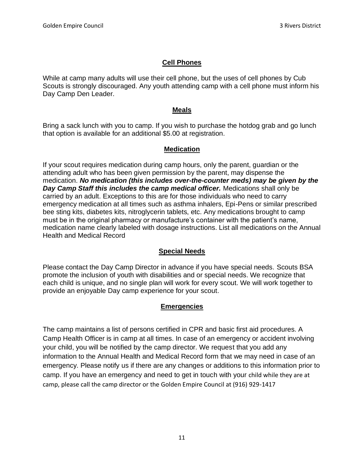#### **Cell Phones**

While at camp many adults will use their cell phone, but the uses of cell phones by Cub Scouts is strongly discouraged. Any youth attending camp with a cell phone must inform his Day Camp Den Leader.

#### **Meals**

Bring a sack lunch with you to camp. If you wish to purchase the hotdog grab and go lunch that option is available for an additional \$5.00 at registration.

#### **Medication**

If your scout requires medication during camp hours, only the parent, guardian or the attending adult who has been given permission by the parent, may dispense the medication. *No medication (this includes over-the-counter meds) may be given by the Day Camp Staff this includes the camp medical officer.* Medications shall only be carried by an adult. Exceptions to this are for those individuals who need to carry emergency medication at all times such as asthma inhalers, Epi-Pens or similar prescribed bee sting kits, diabetes kits, nitroglycerin tablets, etc. Any medications brought to camp must be in the original pharmacy or manufacture's container with the patient's name, medication name clearly labeled with dosage instructions. List all medications on the Annual Health and Medical Record

#### **Special Needs**

Please contact the Day Camp Director in advance if you have special needs. Scouts BSA promote the inclusion of youth with disabilities and or special needs. We recognize that each child is unique, and no single plan will work for every scout. We will work together to provide an enjoyable Day camp experience for your scout.

#### **Emergencies**

The camp maintains a list of persons certified in CPR and basic first aid procedures. A Camp Health Officer is in camp at all times. In case of an emergency or accident involving your child, you will be notified by the camp director. We request that you add any information to the Annual Health and Medical Record form that we may need in case of an emergency. Please notify us if there are any changes or additions to this information prior to camp. If you have an emergency and need to get in touch with your child while they are at camp, please call the camp director or the Golden Empire Council at (916) 929-1417